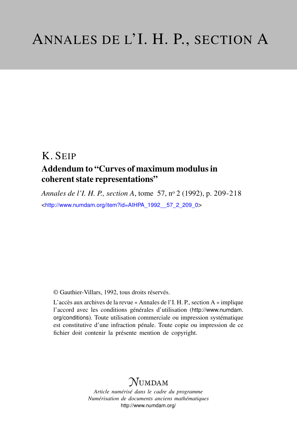## K. SEIP

## Addendum to "Curves of maximum modulus in coherent state representations"

*Annales de l'I. H. P., section A*, tome 57, n<sup>o</sup> 2 (1992), p. 209-218 <[http://www.numdam.org/item?id=AIHPA\\_1992\\_\\_57\\_2\\_209\\_0](http://www.numdam.org/item?id=AIHPA_1992__57_2_209_0)>

© Gauthier-Villars, 1992, tous droits réservés.

L'accès aux archives de la revue « Annales de l'I. H. P., section A » implique l'accord avec les conditions générales d'utilisation ([http://www.numdam.](http://www.numdam.org/conditions) [org/conditions](http://www.numdam.org/conditions)). Toute utilisation commerciale ou impression systématique est constitutive d'une infraction pénale. Toute copie ou impression de ce fichier doit contenir la présente mention de copyright.

# $N$ UMDAM

*Article numérisé dans le cadre du programme Numérisation de documents anciens mathématiques* <http://www.numdam.org/>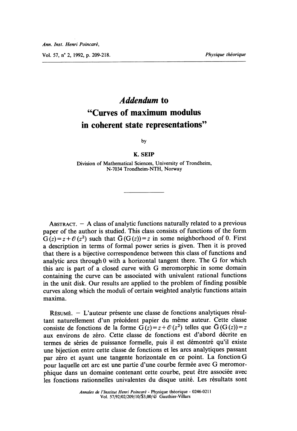Vol. 57, n° 2, 1992, p. 209-218.

## Addendum to "Curves of maximum modulus in coherent state representations"

by

#### K. SEIP

Division of Mathematical Sciences, University of Trondheim, N-7034 Trondheim-NTH, Norway

ABSTRACT.  $-$  A class of analytic functions naturally related to a previous paper of the author is studied. This class consists of functions of the form  $G(z) = z + \mathcal{O}(z^2)$  such that  $\overline{G}(G(z)) = z$  in some neighborhood of 0. First a description in terms of formal power series is given. Then it is proved that there is a bijective correspondence between this class of functions and analytic arcs through 0 with a horizontal tangent there. The G for which this arc is part of a closed curve with G meromorphic in some domain containing the curve can be associated with univalent rational functions in the unit disk. Our results are applied to the problem of finding possible curves along which the moduli of certain weighted analytic functions attain maxima.

RÉSUMÉ. - L'auteur présente une classe de fonctions analytiques résultant naturellement d'un précédent papier du même auteur. Cette classe consiste de fonctions de la forme  $G(z) = z + \mathcal{O}(z^2)$  telles que  $\bar{G}(G(z)) = z$ aux environs de zéro. Cette classe de fonctions est d'abord décrite en termes de séries de puissance formelle, puis il est démontré qu'il existe une bijection entre cette classe de fonctions et les arcs analytiques passant par zéro et ayant une tangente horizontale en ce point. La fonction G pour laquelle cet arc est une partie d'une courbe fermée avec G meromorphique dans un domaine contenant cette courbe, peut être associée avec les fonctions rationnelles univalentes du disque unité. Les résultats sont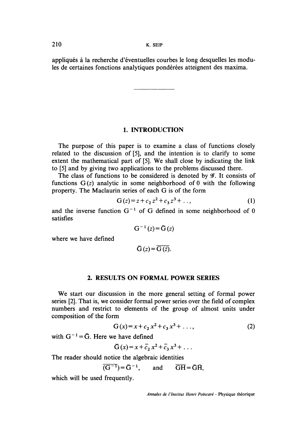appliques a la recherche d'éventuelles courbes Ie long desquelles les modules de certaines fonctions analytiques pondérées atteignent des maxima.

### 1. INTRODUCTION

The purpose of this paper is to examine a class of functions closely related to the discussion of [5], and the intention is to clarify to some extent the mathematical part of [5]. We shall close by indicating the link to [5] and by giving two applications to the problems discussed there.

The class of functions to be considered is denoted by  $\mathscr{G}$ . It consists of functions  $G(z)$  analytic in some neighborhood of 0 with the following property. The Maclaurin series of each G is of the form

$$
G(z) = z + c_2 z^2 + c_3 z^3 + \dots,
$$
 (1)

and the inverse function  $G^{-1}$  of G defined in some neighborhood of 0 satisfies

$$
G^{-1}(z) = \overline{G}(z)
$$

where we have defined

$$
\overline{G}(z) = \overline{G(\overline{z})}.
$$

### 2. RESULTS ON FORMAL POWER SERIES

We start our discussion in the more general setting of formal power series [2]. That is, we consider formal power series over the field of complex numbers and restrict to elements of the group of almost units under composition of the form

$$
G(x) = x + c_2 x^2 + c_3 x^3 + \dots,
$$
 (2)

with  $G^{-1} = \overline{G}$ . Here we have defined

$$
\overline{G}(x) = x + \overline{c}_2 x^2 + \overline{c}_3 x^3 + \dots
$$

The reader should notice the algebraic identities

$$
\overline{(G^{-1})} = \overline{G}^{-1}, \quad \text{and} \quad \overline{GH} = \overline{GH},
$$

which will be used frequently.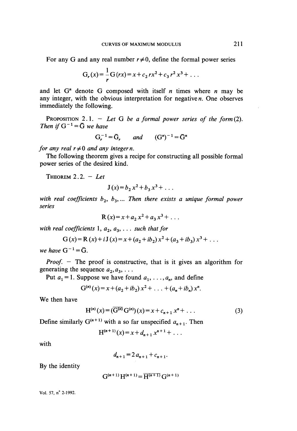For any G and any real number  $r \neq 0$ , define the formal power series

$$
G_r(x) = \frac{1}{r} G(rx) = x + c_2 rx^2 + c_3 r^2 x^3 + \dots
$$

and let  $G<sup>n</sup>$  denote G composed with itself *n* times where *n* may be any integer, with the obvious interpretation for negative n. One observes immediately the following.

PROPOSITION 2.1. - Let G be a formal power series of the form  $(2)$ . Then if  $G^{-1} = \overline{G}$  we have

$$
G_r^{-1} = \bar{G}_r
$$
 and  $(G^n)^{-1} = \bar{G}^n$ 

for any real  $r\neq 0$  and any integer n.

The following theorem gives a recipe for constructing all possible formal power series of the desired kind.

THEOREM  $2.2. - Let$ 

$$
J(x) = b_2 x^2 + b_3 x^3 + \dots
$$

with real coefficients  $b_2$ ,  $b_3$ , ... Then there exists a unique formal power series

$$
R(x)=x+a_2x^2+a_3x^3+\ldots
$$

with real coefficients 1,  $a_2, a_3, \ldots$  such that for

$$
G(x) = R(x) + i J(x) = x + (a_2 + ib_2)x^2 + (a_3 + ib_3)x^3 + ...
$$

we have  $G^{-1} = \overline{G}$ .

*Proof.*  $-$  The proof is constructive, that is it gives an algorithm for generating the sequence  $a_2, a_3, \ldots$ 

Put  $a_1 = 1$ . Suppose we have found  $a_1, \ldots, a_n$ , and define

$$
G^{(n)}(x) = x + (a_2 + ib_2) x^2 + \ldots + (a_n + ib_n) x^n.
$$

We then have

$$
H^{(n)}(x) = (\overline{G^{(n)}} G^{(n)})(x) = x + c_{n+1} x^n + \dots
$$
 (3)

Define similarly  $G^{(n+1)}$  with a so far unspecified  $a_{n+1}$ . Then

$$
H^{(n+1)}(x) = x + d_{n+1} x^{n+1} + \dots
$$

with

$$
d_{n+1} = 2 a_{n+1} + c_{n+1}.
$$

By the identity

$$
G^{(n+1)}H^{(n+1)} = \overline{H^{(n+1)}}G^{(n+1)}
$$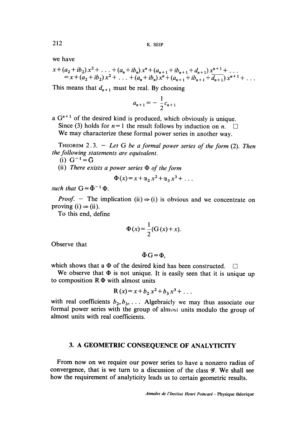we have

$$
x + (a_2 + ib_2) x^2 + \ldots + (a_n + ib_n) x^n + (a_{n+1} + ib_{n+1} + d_{n+1}) x^{n+1} + \ldots
$$
  
=  $x + (a_2 + ib_2) x^2 + \ldots + (a_n + ib_n) x^n + (a_{n+1} + ib_{n+1} + \overline{d_{n+1}}) x^{n+1} + \ldots$ 

This means that  $d_{n+1}$  must be real. By choosing

$$
a_{n+1} = -\frac{1}{2}c_{n+1}
$$

a G<sup>n+1</sup> of the desired kind is produced, which obviously is unique.<br>Since (3) holds for  $n=1$  the result follows by induction on  $n$ . Since (3) holds for  $n = 1$  the result follows by induction on *n*. We may characterize these formal power series in another way.

THEOREM 2.3. - Let G be a formal power series of the form  $(2)$ . Then the following statements are equivalent.

(i)  $G^{-1} = \bar{G}$ 

(ii) There exists a power series  $\Phi$  of the form

$$
\Phi(x) = x + \alpha_2 x^2 + \alpha_3 x^3 + \dots
$$

such that  $G = \bar{\Phi}^{-1} \Phi$ .

*Proof.* - The implication (ii)  $\Rightarrow$  (i) is obvious and we concentrate on proving  $(i) \Rightarrow (ii)$ .

To this end, define

$$
\Phi(x) = \frac{1}{2} (G(x) + x).
$$

Observe that

 $\bar{\Phi}$ G =  $\Phi$ .

which shows that a  $\Phi$  of the desired kind has been constructed.  $\square$ 

We observe that  $\Phi$  is not unique. It is easily seen that it is unique up to composition  $R\Phi$  with almost units

$$
R(x) = x + b_2 x^2 + b_3 x^3 + \dots
$$

with real coefficients  $b_2, b_3, \ldots$  Algebraicly we may thus associate our formal power series with the group of almost units modulo the group of almost units with real coefficients.

## 3. A GEOMETRIC CONSEQUENCE OF ANALYTICITY

From now on we require our power series to have a nonzero radius of convergence, that is we turn to a discussion of the class  $\mathscr{G}$ . We shall see how the requirement of analyticity leads us to certain geometric results.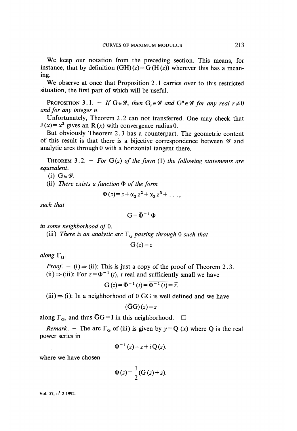We keep our notation from the preceding section. This means, for instance, that by definition  $(GH)(z) = G(H(z))$  wherever this has a meaning.

We observe at once that Proposition 2.1 carries over to this restricted situation, the first part of which will be useful.

PROPOSITION 3.1. - If  $G \in \mathscr{G}$ , then  $G_r \in \mathscr{G}$  and  $G^n \in \mathscr{G}$  for any real  $r \neq 0$ and for any integer n.

Unfortunately, Theorem 2. 2 can not transferred. One may check that  $J(x) = x^2$  gives an R(x) with convergence radius 0.

But obviously Theorem 2. 3 has a counterpart. The geometric content of this result is that there is a bijective correspondence between  $\mathscr G$  and analytic arcs through 0 with a horizontal tangent there.

THEOREM 3.2. - For  $G(z)$  of the form (1) the following statements are equivalent.

(i)  $G \in \mathscr{G}$ .

(ii) There exists a function  $\Phi$  of the form

$$
\Phi(z) = z + \alpha_2 z^2 + \alpha_3 z^3 + \ldots,
$$

such that

$$
G = \overline{\Phi}^{-1} \Phi
$$

in some neighborhood of  $0$ .

(iii) There is an analytic arc  $\Gamma_G$  passing through 0 such that

$$
G(z) = \overline{z}
$$

along  $\Gamma_{\rm G}$ .

*Proof.*  $-$  (i)  $\Rightarrow$  (ii): This is just a copy of the proof of Theorem 2.3. (ii)  $\Rightarrow$  (iii): For  $z = \Phi^{-1}(t)$ , t real and sufficiently small we have

 $G(z) = \overline{\Phi}^{-1}(t) = \overline{\Phi^{-1}(t)} = \overline{z}$ .

(iii)  $\Rightarrow$  (i): In a neighborhood of 0 GG is well defined and we have

$$
(\bar{G}G)(z) = z
$$

along  $\Gamma_G$ , and thus  $\bar{G}G = I$  in this neighborhood.  $\Box$ 

*Remark.* - The arc  $\Gamma_G$  of (iii) is given by  $y = Q(x)$  where Q is the real power series in

$$
\Phi^{-1}(z) = z + i Q(z).
$$

where we have chosen

$$
\Phi(z) = \frac{1}{2} (G(z) + z).
$$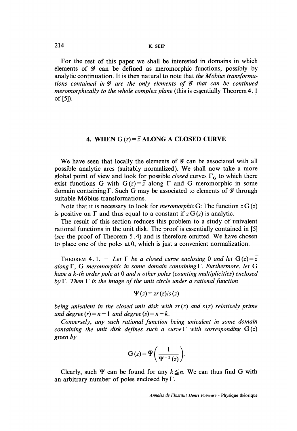214 K. SEIP

For the rest of this paper we shall be interested in domains in which elements of  $\mathscr G$  can be defined as meromorphic functions, possibly by analytic continuation. It is then natural to note that the Möbius transformations contained in  $\mathcal G$  are the only elements of  $\mathcal G$  that can be continued meromorphically to the whole complex plane (this is essentially Theorem 4.1. of [5]).

## 4. WHEN  $G(z) = \overline{z}$  ALONG A CLOSED CURVE

We have seen that locally the elements of  $\mathcal G$  can be associated with all possible analytic arcs (suitably normalized ). We shall now take a more global point of view and look for possible *closed* curves  $\Gamma_{\rm G}$  to which there exist functions G with  $G(z) = \overline{z}$  along  $\Gamma$  and G meromorphic in some domain containing  $\Gamma$ . Such G may be associated to elements of  $\mathscr G$  through suitable Mobius transformations.

Note that it is necessary to look for *meromorphic* G: The function  $z G(z)$ is positive on  $\Gamma$  and thus equal to a constant if  $z G(z)$  is analytic.

The result of this section reduces this problem to a study of univalent rational functions in the unit disk. The proof is essentially contained in [5] (see the proof of Theorem 5.4) and is therefore omitted. We have chosen to place one of the poles at 0, which is just a convenient normalization.

THEOREM 4.1. - Let  $\Gamma$  be a closed curve enclosing 0 and let  $G(z) = \overline{z}$ along  $\Gamma$ , G meromorphic in some domain containing  $\Gamma$ . Furthermore, let G have a  $k$ -th order pole at  $0$  and n other poles (counting multiplicities) enclosed  $bv\Gamma$ . Then  $\Gamma$  is the image of the unit circle under a rational function

$$
\Psi(z) = zr(z)/s(z)
$$

being univalent in the closed unit disk with  $z(r)$  and  $s(z)$  relatively prime and degree  $(r) = n - 1$  and degree  $(s) = n - k$ .

Conversely, any such rational function being univalent in some domain containing the unit disk defines such a curve  $\Gamma$  with corresponding  $G(z)$ given by

$$
G(z) = \bar{\Psi}\left(\frac{1}{\Psi^{-1}(z)}\right).
$$

Clearly, such  $\Psi$  can be found for any  $k \leq n$ . We can thus find G with an arbitrary number of poles enclosed by  $\Gamma$ .

Annales de l'Institut Henri Poincaré - Physique théorique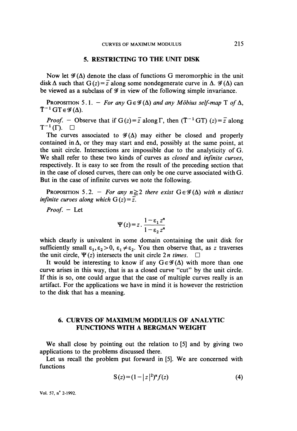#### 5. RESTRICTING TO THE UNIT DISK

Now let  $\mathscr{G}(\Delta)$  denote the class of functions G meromorphic in the unit disk  $\Delta$  such that  $G(z) = \overline{z}$  along some nondegenerate curve in  $\Delta$ .  $\mathscr{G}(\Delta)$  can be viewed as a subclass of  $\mathcal G$  in view of the following simple invariance.

PROPOSITION 5.1. - For any  $G \in \mathscr{G}(\Delta)$  and any Möbius self-map T of  $\Delta$ ,  $\overline{T}^{-1}GT \in \mathscr{G}(\Delta)$ .

*Proof.* - Observe that if  $G(z) = \overline{z}$  along  $\Gamma$ , then  $(\overline{T}^{-1}GT)(z) = \overline{z}$  along  $T^{-1}(\Gamma)$ .  $\Box$ 

The curves associated to  $\mathscr{G}(\Delta)$  may either be closed and properly contained in  $\Delta$ , or they may start and end, possibly at the same point, at the unit circle. Intersections are impossible due to the analyticity of G. We shall refer to these two kinds of curves as *closed* and *infinite curves*, respectively. It is easy to see from the result of the preceding section that in the case of closed curves, there can only be one curve associated with G. But in the case of infinite curves we note the following.

PROPOSITION 5.2. - For any  $n \ge 2$  there exist  $G \in \mathcal{G}(\Delta)$  with n distinct infinite curves along which  $G(z) = \overline{z}$ .

 $Proof. - Let$ 

$$
\Psi(z) = z \cdot \frac{1 - \varepsilon_1 z^n}{1 - \varepsilon_2 z^n}
$$

which clearly is univalent in some domain containing the unit disk for sufficiently small  $\varepsilon_1, \varepsilon_2 > 0$ ,  $\varepsilon_1 \neq \varepsilon_2$ . You then observe that, as z traverses the unit circle,  $\Psi(z)$  intersects the unit circle 2*n times*.  $\Box$ 

It would be interesting to know if any  $G \in \mathscr{G}(\Delta)$  with more than one curve arises in this way, that is as a closed curve "cut" by the unit circle. If this is so, one could argue that the case of multiple curves really is an artifact. For the applications we have in mind it is however the restriction to the disk that has a meaning.

## 6. CURVES OF MAXIMUM MODULUS OF ANALYTIC FUNCTIONS WITH A BERGMAN WEIGHT

We shall close by pointing out the relation to [5] and by giving two applications to the problems discussed there.

Let us recall the problem put forward in [5]. We are concerned with functions

$$
S(z) = (1 - |z|^2)^{\alpha} f(z)
$$
 (4)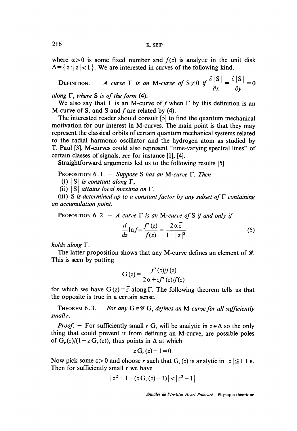where  $\alpha > 0$  is some fixed number and  $f(z)$  is analytic in the unit disk  $\Delta = \{z:|z| < 1\}$ . We are interested in curves of the following kind.

 $=\{z: |z| < 1\}$ . We are interested in curves of the following kind.<br>
DEFINITION. - A curve  $\Gamma$  is an M-curve of  $S \neq 0$  if  $\frac{\partial |S|}{\partial x} = \frac{\partial |S|}{\partial y} = 0$ <br>
ong  $\Gamma$ , where S is of the form (4).

along  $\Gamma$ , where S is of the form (4).

We also say that  $\Gamma$  is an M-curve of f when  $\Gamma$  by this definition is an M-curve of S, and S and  $f$  are related by (4).

The interested reader should consult [5] to find the quantum mechanical motivation for our interest in M-curves. The main point is that they may represent the classical orbits of certain quantum mechanical systems related to the radial harmonic oscillator and the hydrogen atom as studied by T. Paul [3]. M-curves could also represent "time-varying spectral lines" of certain classes of signals, see for instance [1], [4].

Straightforward arguments led us to the following results [5].

PROPOSITION 6.1. - Suppose S has an M-curve  $\Gamma$ . Then

(i)  $|S|$  is constant along  $\Gamma$ ,

(ii)  $|S|$  attains local maxima on  $\Gamma$ ,

(iii) S is determined up to a constant factor by any subset of  $\Gamma$  containing an accumulation point.

PROPOSITION 6.2. - A curve  $\Gamma$  is an M-curve of S if and only if

$$
\frac{d}{dz}\ln f = \frac{f'(z)}{f(z)} = \frac{2\,\alpha\,\bar{z}}{1 - |z|^2} \tag{5}
$$

holds along  $\Gamma$ .

The latter proposition shows that any M-curve defines an element of  $\mathcal{G}$ . This is seen by putting

$$
G(z) = \frac{f'(z)/f(z)}{2\alpha + zf'(z)/f(z)}
$$

for which we have  $G(z) = \overline{z}$  along  $\Gamma$ . The following theorem tells us that the opposite is true in a certain sense.

THEOREM 6.3. - For any  $G \in \mathscr{G}$  G, defines an M-curve for all sufficiently small r.

*Proof.* - For sufficiently small r G, will be analytic in  $z \in \Delta$  so the only thing that could prevent it from defining an M-curve, are possible poles of  $G_r(z)/(1-z)G_r(z)$ , thus points in  $\Delta$  at which

$$
z\mathbf{G}_{r}(z)-1=0.
$$

Now pick some  $\epsilon > 0$  and choose r such that  $G_r(z)$  is analytic in  $|z| \leq 1 + \epsilon$ . Then for sufficiently small  $r$  we have

$$
|z^2-1-(z \, \mathbf{G}_r(z)-1)|<|z^2-1|
$$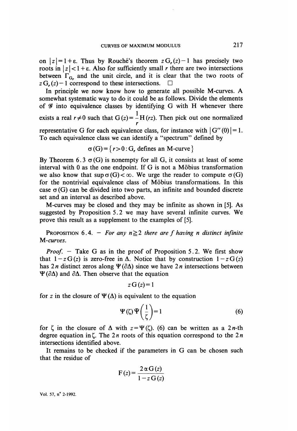on  $|z|=1+\epsilon$ . Thus by Rouché's theorem  $zG_{\epsilon}(z)-1$  has precisely two roots in  $|z| < 1 + \epsilon$ . Also for sufficiently small r there are two intersections between  $\Gamma_{\text{G}_n}$  and the unit circle, and it is clear that the two roots of  $z \mathbf{G}_z(z) - 1$  correspond to these intersections.  $\square$ 

In principle we now know how to generate all possible M-curves. A somewhat systematic way to do it could be as follows. Divide the elements of  $\mathscr G$  into equivalence classes by identifying G with H whenever there exists a real  $r \neq 0$  such that  $G(z) = \frac{1}{z} H(rz)$ . Then pick out one normalized representative G for each equivalence class, for instance with  $|G''(0)|=1$ . To each equivalence class we can identify a "spectrum" defined by

$$
\sigma(G) = \{r > 0 : G_r \text{ defines an } M\text{-curve }\}
$$

By Theorem 6.3  $\sigma$ (G) is nonempty for all G, it consists at least of some interval with 0 as the one endpoint. If G is not a Möbius transformation we also know that sup  $\sigma(G) < \infty$ . We urge the reader to compute  $\sigma(G)$ for the nontrivial equivalence class of Mobius transformations. In this case  $\sigma(G)$  can be divided into two parts, an infinite and bounded discrete set and an interval as described above.

M-curves may be closed and they may be infinite as shown in [5]. As suggested by Proposition 5.2 we may have several infinite curves. We prove this result as a supplement to the examples of [5].

PROPOSITION 6.4. - For any  $n \geq 2$  there are f having n distinct infinite M-curves.

*Proof.*  $-$  Take G as in the proof of Proposition 5.2. We first show that  $1-z G(z)$  is zero-free in  $\Delta$ . Notice that by construction  $1-z G(z)$ has 2*n* distinct zeros along  $\Psi(\partial \Delta)$  since we have 2*n* intersections between  $\Psi(\partial \Delta)$  and  $\partial \Delta$ . Then observe that the equation

 $z \mathbf{G}(z) = 1$ 

for z in the closure of  $\Psi(\Delta)$  is equivalent to the equation

$$
\Psi(\zeta)\,\Psi\bigg(\frac{1}{\zeta}\bigg)=1\tag{6}
$$

for  $\zeta$  in the closure of  $\Delta$  with  $z=\Psi(\zeta)$ . (6) can be written as a 2*n*-th degree equation in  $\zeta$ . The 2*n* roots of this equation correspond to the 2*n* intersections identified above.

It remains to be checked if the parameters in G can be chosen such that the residue of

$$
F(z) = \frac{2 \alpha G(z)}{1 - z G(z)}
$$